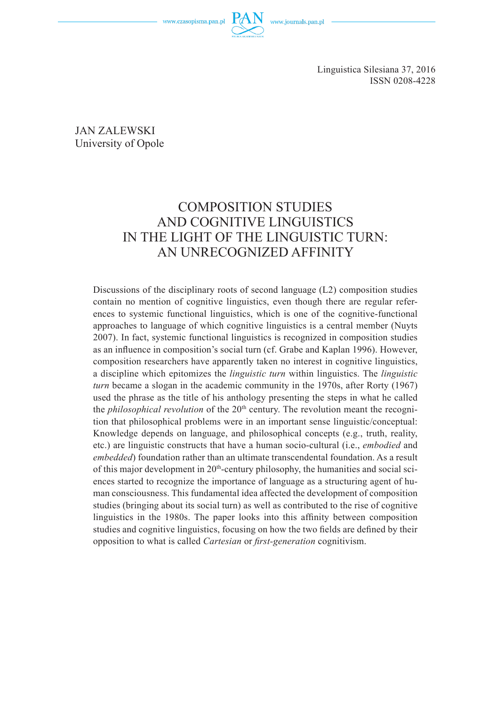www.czasopisma.pan.pl



JAN ZALEWSKI University of Opole

# COMPOSITION STUDIES AND COGNITIVE LINGUISTICS IN THE LIGHT OF THE LINGUISTIC TURN: AN UNRECOGNIZED AFFINITY

Discussions of the disciplinary roots of second language (L2) composition studies contain no mention of cognitive linguistics, even though there are regular references to systemic functional linguistics, which is one of the cognitive-functional approaches to language of which cognitive linguistics is a central member (Nuyts 2007). In fact, systemic functional linguistics is recognized in composition studies as an influence in composition's social turn (cf. Grabe and Kaplan 1996). However, composition researchers have apparently taken no interest in cognitive linguistics, a discipline which epitomizes the *linguistic turn* within linguistics. The *linguistic turn* became a slogan in the academic community in the 1970s, after Rorty (1967) used the phrase as the title of his anthology presenting the steps in what he called the *philosophical revolution* of the 20<sup>th</sup> century. The revolution meant the recognition that philosophical problems were in an important sense linguistic/conceptual: Knowledge depends on language, and philosophical concepts (e.g., truth, reality, etc.) are linguistic constructs that have a human socio-cultural (i.e., *embodied* and *embedded*) foundation rather than an ultimate transcendental foundation. As a result of this major development in  $20<sup>th</sup>$ -century philosophy, the humanities and social sciences started to recognize the importance of language as a structuring agent of human consciousness. This fundamental idea affected the development of composition studies (bringing about its social turn) as well as contributed to the rise of cognitive linguistics in the 1980s. The paper looks into this affinity between composition studies and cognitive linguistics, focusing on how the two fields are defined by their opposition to what is called *Cartesian* or *first-generation* cognitivism.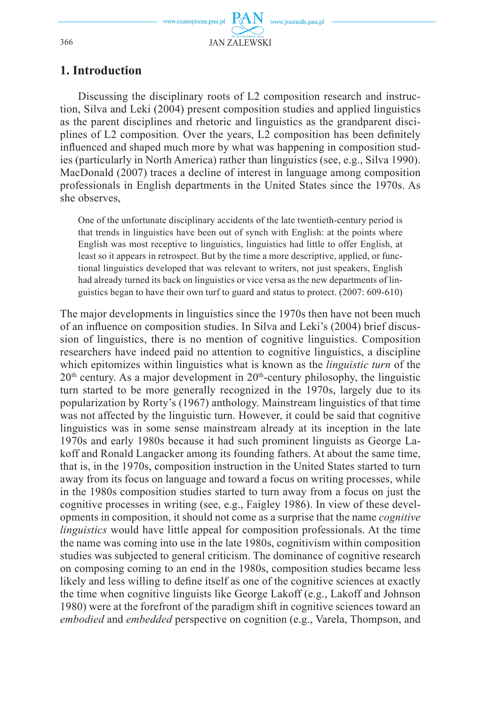## **1. Introduction**

Discussing the disciplinary roots of L2 composition research and instruction, Silva and Leki (2004) present composition studies and applied linguistics as the parent disciplines and rhetoric and linguistics as the grandparent disciplines of L2 composition. Over the years, L2 composition has been definitely influenced and shaped much more by what was happening in composition studies (particularly in North America) rather than linguistics (see, e.g., Silva 1990). MacDonald (2007) traces a decline of interest in language among composition professionals in English departments in the United States since the 1970s. As she observes,

One of the unfortunate disciplinary accidents of the late twentieth-century period is that trends in linguistics have been out of synch with English: at the points where English was most receptive to linguistics, linguistics had little to offer English, at least so it appears in retrospect. But by the time a more descriptive, applied, or functional linguistics developed that was relevant to writers, not just speakers, English had already turned its back on linguistics or vice versa as the new departments of linguistics began to have their own turf to guard and status to protect. (2007: 609-610)

The major developments in linguistics since the 1970s then have not been much of an influence on composition studies. In Silva and Leki's (2004) brief discussion of linguistics, there is no mention of cognitive linguistics. Composition researchers have indeed paid no attention to cognitive linguistics, a discipline which epitomizes within linguistics what is known as the *linguistic turn* of the  $20<sup>th</sup>$  century. As a major development in  $20<sup>th</sup>$ -century philosophy, the linguistic turn started to be more generally recognized in the 1970s, largely due to its popularization by Rorty's (1967) anthology. Mainstream linguistics of that time was not affected by the linguistic turn. However, it could be said that cognitive linguistics was in some sense mainstream already at its inception in the late 1970s and early 1980s because it had such prominent linguists as George Lakoff and Ronald Langacker among its founding fathers. At about the same time, that is, in the 1970s, composition instruction in the United States started to turn away from its focus on language and toward a focus on writing processes, while in the 1980s composition studies started to turn away from a focus on just the cognitive processes in writing (see, e.g., Faigley 1986). In view of these developments in composition, it should not come as a surprise that the name *cognitive linguistics* would have little appeal for composition professionals. At the time the name was coming into use in the late 1980s, cognitivism within composition studies was subjected to general criticism. The dominance of cognitive research on composing coming to an end in the 1980s, composition studies became less likely and less willing to define itself as one of the cognitive sciences at exactly the time when cognitive linguists like George Lakoff (e.g., Lakoff and Johnson 1980) were at the forefront of the paradigm shift in cognitive sciences toward an *embodied* and *embedded* perspective on cognition (e.g., Varela, Thompson, and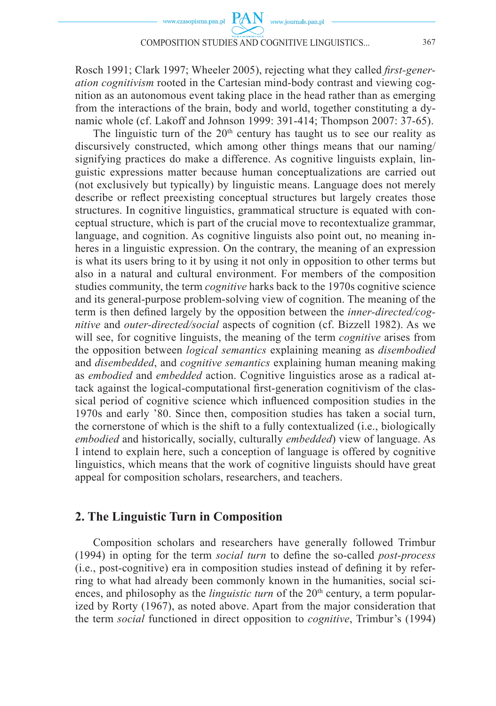**PAN** 

www.journals.pan.pl

Rosch 1991; Clark 1997; Wheeler 2005), rejecting what they called *first-generation cognitivism* rooted in the Cartesian mind-body contrast and viewing cognition as an autonomous event taking place in the head rather than as emerging from the interactions of the brain, body and world, together constituting a dynamic whole (cf. Lakoff and Johnson 1999: 391-414; Thompson 2007: 37-65).

The linguistic turn of the  $20<sup>th</sup>$  century has taught us to see our reality as discursively constructed, which among other things means that our naming/ signifying practices do make a difference. As cognitive linguists explain, linguistic expressions matter because human conceptualizations are carried out (not exclusively but typically) by linguistic means. Language does not merely describe or reflect preexisting conceptual structures but largely creates those structures. In cognitive linguistics, grammatical structure is equated with conceptual structure, which is part of the crucial move to recontextualize grammar, language, and cognition. As cognitive linguists also point out, no meaning inheres in a linguistic expression. On the contrary, the meaning of an expression is what its users bring to it by using it not only in opposition to other terms but also in a natural and cultural environment. For members of the composition studies community, the term *cognitive* harks back to the 1970s cognitive science and its general-purpose problem-solving view of cognition. The meaning of the term is then defined largely by the opposition between the *inner-directed/cognitive* and *outer-directed/social* aspects of cognition (cf. Bizzell 1982). As we will see, for cognitive linguists, the meaning of the term *cognitive* arises from the opposition between *logical semantics* explaining meaning as *disembodied* and *disembedded*, and *cognitive semantics* explaining human meaning making as *embodied* and *embedded* action. Cognitive linguistics arose as a radical attack against the logical-computational first-generation cognitivism of the classical period of cognitive science which influenced composition studies in the 1970s and early '80. Since then, composition studies has taken a social turn, the cornerstone of which is the shift to a fully contextualized (i.e., biologically *embodied* and historically, socially, culturally *embedded*) view of language. As I intend to explain here, such a conception of language is offered by cognitive linguistics, which means that the work of cognitive linguists should have great appeal for composition scholars, researchers, and teachers.

### **2. The Linguistic Turn in Composition**

Composition scholars and researchers have generally followed Trimbur (1994) in opting for the term *social turn* to define the so-called *post-process*  $(i.e., post-cognitive)$  era in composition studies instead of defining it by referring to what had already been commonly known in the humanities, social sciences, and philosophy as the *linguistic turn* of the 20<sup>th</sup> century, a term popularized by Rorty (1967), as noted above. Apart from the major consideration that the term *social* functioned in direct opposition to *cognitive*, Trimbur's (1994)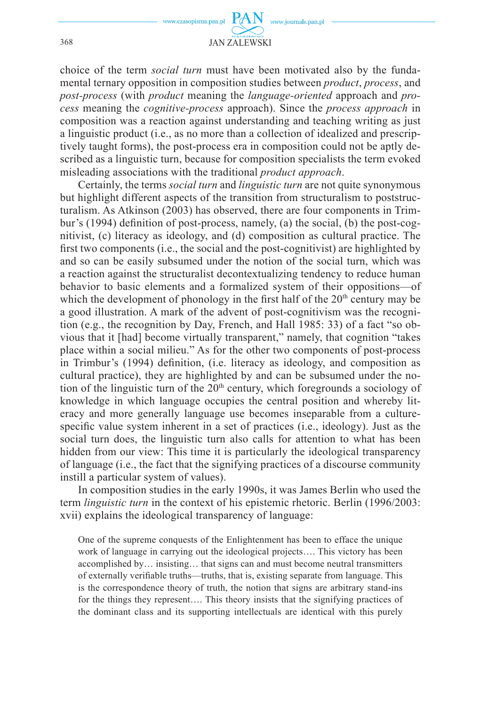

choice of the term *social turn* must have been motivated also by the fundamental ternary opposition in composition studies between *product*, *process*, and *post-process* (with *product* meaning the *language-oriented* approach and *process* meaning the *cognitive-process* approach). Since the *process approach* in composition was a reaction against understanding and teaching writing as just a linguistic product (i.e., as no more than a collection of idealized and prescriptively taught forms), the post-process era in composition could not be aptly described as a linguistic turn, because for composition specialists the term evoked misleading associations with the traditional *product approach*.

Certainly, the terms *social turn* and *linguistic turn* are not quite synonymous but highlight different aspects of the transition from structuralism to poststructuralism. As Atkinson (2003) has observed, there are four components in Trimbur's (1994) definition of post-process, namely, (a) the social, (b) the post-cognitivist, (c) literacy as ideology, and (d) composition as cultural practice. The first two components (i.e., the social and the post-cognitivist) are highlighted by and so can be easily subsumed under the notion of the social turn, which was a reaction against the structuralist decontextualizing tendency to reduce human behavior to basic elements and a formalized system of their oppositions—of which the development of phonology in the first half of the  $20<sup>th</sup>$  century may be a good illustration. A mark of the advent of post-cognitivism was the recognition (e.g., the recognition by Day, French, and Hall 1985: 33) of a fact "so obvious that it [had] become virtually transparent," namely, that cognition "takes place within a social milieu." As for the other two components of post-process in Trimbur's (1994) definition, (i.e. literacy as ideology, and composition as cultural practice), they are highlighted by and can be subsumed under the notion of the linguistic turn of the  $20<sup>th</sup>$  century, which foregrounds a sociology of knowledge in which language occupies the central position and whereby literacy and more generally language use becomes inseparable from a culturespecific value system inherent in a set of practices (i.e., ideology). Just as the social turn does, the linguistic turn also calls for attention to what has been hidden from our view: This time it is particularly the ideological transparency of language (i.e., the fact that the signifying practices of a discourse community instill a particular system of values).

In composition studies in the early 1990s, it was James Berlin who used the term *linguistic turn* in the context of his epistemic rhetoric. Berlin (1996/2003: xvii) explains the ideological transparency of language:

One of the supreme conquests of the Enlightenment has been to efface the unique work of language in carrying out the ideological projects…. This victory has been accomplished by… insisting… that signs can and must become neutral transmitters of externally verifiable truths—truths, that is, existing separate from language. This is the correspondence theory of truth, the notion that signs are arbitrary stand-ins for the things they represent…. This theory insists that the signifying practices of the dominant class and its supporting intellectuals are identical with this purely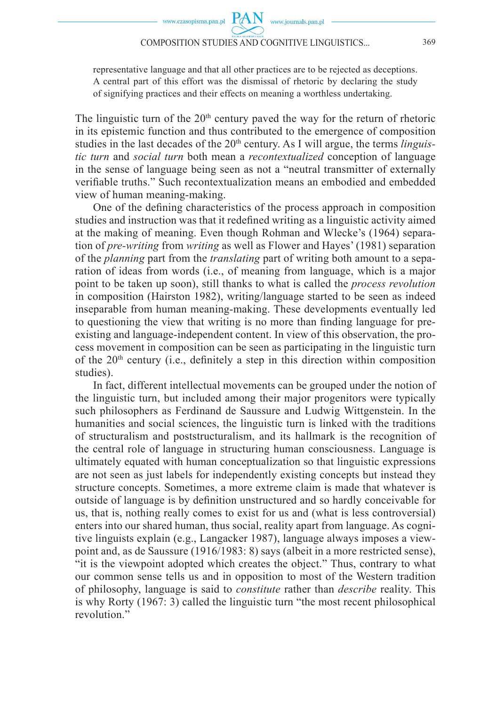www.journals.pan.pl

representative language and that all other practices are to be rejected as deceptions. A central part of this effort was the dismissal of rhetoric by declaring the study of signifying practices and their effects on meaning a worthless undertaking.

The linguistic turn of the  $20<sup>th</sup>$  century paved the way for the return of rhetoric in its epistemic function and thus contributed to the emergence of composition studies in the last decades of the 20<sup>th</sup> century. As I will argue, the terms *linguistic turn* and *social turn* both mean a *recontextualized* conception of language in the sense of language being seen as not a "neutral transmitter of externally verifiable truths." Such recontextualization means an embodied and embedded view of human meaning-making.

One of the defining characteristics of the process approach in composition studies and instruction was that it redefined writing as a linguistic activity aimed at the making of meaning. Even though Rohman and Wlecke's (1964) separation of *pre-writing* from *writing* as well as Flower and Hayes' (1981) separation of the *planning* part from the *translating* part of writing both amount to a separation of ideas from words (i.e., of meaning from language, which is a major point to be taken up soon), still thanks to what is called the *process revolution* in composition (Hairston 1982), writing/language started to be seen as indeed inseparable from human meaning-making. These developments eventually led to questioning the view that writing is no more than finding language for preexisting and language-independent content. In view of this observation, the process movement in composition can be seen as participating in the linguistic turn of the  $20<sup>th</sup>$  century (i.e., definitely a step in this direction within composition studies).

In fact, different intellectual movements can be grouped under the notion of the linguistic turn, but included among their major progenitors were typically such philosophers as Ferdinand de Saussure and Ludwig Wittgenstein. In the humanities and social sciences, the linguistic turn is linked with the traditions of structuralism and poststructuralism, and its hallmark is the recognition of the central role of language in structuring human consciousness. Language is ultimately equated with human conceptualization so that linguistic expressions are not seen as just labels for independently existing concepts but instead they structure concepts. Sometimes, a more extreme claim is made that whatever is outside of language is by definition unstructured and so hardly conceivable for us, that is, nothing really comes to exist for us and (what is less controversial) enters into our shared human, thus social, reality apart from language. As cognitive linguists explain (e.g., Langacker 1987), language always imposes a viewpoint and, as de Saussure (1916/1983: 8) says (albeit in a more restricted sense), "it is the viewpoint adopted which creates the object." Thus, contrary to what our common sense tells us and in opposition to most of the Western tradition of philosophy, language is said to *constitute* rather than *describe* reality. This is why Rorty (1967: 3) called the linguistic turn "the most recent philosophical revolution."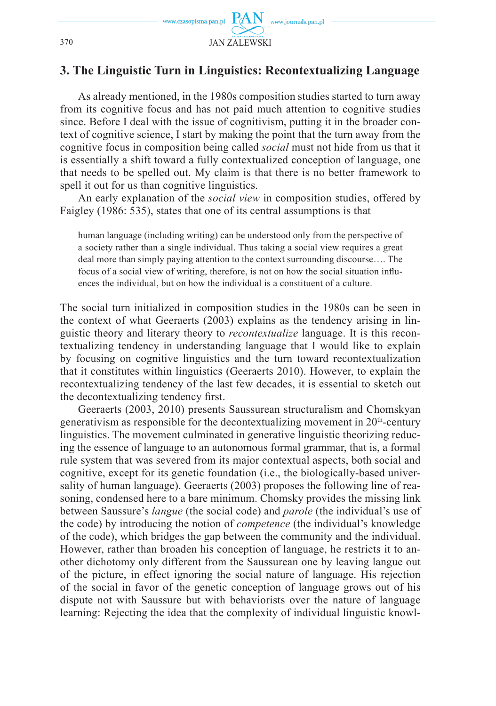

# **3. The Linguistic Turn in Linguistics: Recontextualizing Language**

As already mentioned, in the 1980s composition studies started to turn away from its cognitive focus and has not paid much attention to cognitive studies since. Before I deal with the issue of cognitivism, putting it in the broader context of cognitive science, I start by making the point that the turn away from the cognitive focus in composition being called *social* must not hide from us that it is essentially a shift toward a fully contextualized conception of language, one that needs to be spelled out. My claim is that there is no better framework to spell it out for us than cognitive linguistics.

An early explanation of the *social view* in composition studies, offered by Faigley (1986: 535), states that one of its central assumptions is that

human language (including writing) can be understood only from the perspective of a society rather than a single individual. Thus taking a social view requires a great deal more than simply paying attention to the context surrounding discourse…. The focus of a social view of writing, therefore, is not on how the social situation influences the individual, but on how the individual is a constituent of a culture.

The social turn initialized in composition studies in the 1980s can be seen in the context of what Geeraerts (2003) explains as the tendency arising in linguistic theory and literary theory to *recontextualize* language. It is this recontextualizing tendency in understanding language that I would like to explain by focusing on cognitive linguistics and the turn toward recontextualization that it constitutes within linguistics (Geeraerts 2010). However, to explain the recontextualizing tendency of the last few decades, it is essential to sketch out the decontextualizing tendency first.

Geeraerts (2003, 2010) presents Saussurean structuralism and Chomskyan generativism as responsible for the decontextualizing movement in 20th-century linguistics. The movement culminated in generative linguistic theorizing reducing the essence of language to an autonomous formal grammar, that is, a formal rule system that was severed from its major contextual aspects, both social and cognitive, except for its genetic foundation (i.e., the biologically-based universality of human language). Geeraerts (2003) proposes the following line of reasoning, condensed here to a bare minimum. Chomsky provides the missing link between Saussure's *langue* (the social code) and *parole* (the individual's use of the code) by introducing the notion of *competence* (the individual's knowledge of the code), which bridges the gap between the community and the individual. However, rather than broaden his conception of language, he restricts it to another dichotomy only different from the Saussurean one by leaving langue out of the picture, in effect ignoring the social nature of language. His rejection of the social in favor of the genetic conception of language grows out of his dispute not with Saussure but with behaviorists over the nature of language learning: Rejecting the idea that the complexity of individual linguistic knowl-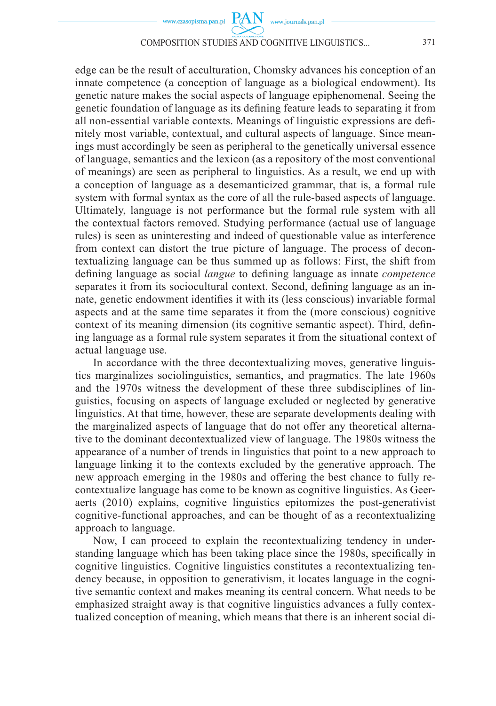

edge can be the result of acculturation, Chomsky advances his conception of an innate competence (a conception of language as a biological endowment). Its genetic nature makes the social aspects of language epiphenomenal. Seeing the genetic foundation of language as its defining feature leads to separating it from all non-essential variable contexts. Meanings of linguistic expressions are defi nitely most variable, contextual, and cultural aspects of language. Since meanings must accordingly be seen as peripheral to the genetically universal essence of language, semantics and the lexicon (as a repository of the most conventional of meanings) are seen as peripheral to linguistics. As a result, we end up with a conception of language as a desemanticized grammar, that is, a formal rule system with formal syntax as the core of all the rule-based aspects of language. Ultimately, language is not performance but the formal rule system with all the contextual factors removed. Studying performance (actual use of language rules) is seen as uninteresting and indeed of questionable value as interference from context can distort the true picture of language. The process of decontextualizing language can be thus summed up as follows: First, the shift from defining language as social *langue* to defining language as innate *competence* separates it from its sociocultural context. Second, defining language as an innate, genetic endowment identifies it with its (less conscious) invariable formal aspects and at the same time separates it from the (more conscious) cognitive context of its meaning dimension (its cognitive semantic aspect). Third, defining language as a formal rule system separates it from the situational context of actual language use.

In accordance with the three decontextualizing moves, generative linguistics marginalizes sociolinguistics, semantics, and pragmatics. The late 1960s and the 1970s witness the development of these three subdisciplines of linguistics, focusing on aspects of language excluded or neglected by generative linguistics. At that time, however, these are separate developments dealing with the marginalized aspects of language that do not offer any theoretical alternative to the dominant decontextualized view of language. The 1980s witness the appearance of a number of trends in linguistics that point to a new approach to language linking it to the contexts excluded by the generative approach. The new approach emerging in the 1980s and offering the best chance to fully recontextualize language has come to be known as cognitive linguistics. As Geeraerts (2010) explains, cognitive linguistics epitomizes the post-generativist cognitive-functional approaches, and can be thought of as a recontextualizing approach to language.

Now, I can proceed to explain the recontextualizing tendency in understanding language which has been taking place since the 1980s, specifically in cognitive linguistics. Cognitive linguistics constitutes a recontextualizing tendency because, in opposition to generativism, it locates language in the cognitive semantic context and makes meaning its central concern. What needs to be emphasized straight away is that cognitive linguistics advances a fully contextualized conception of meaning, which means that there is an inherent social di-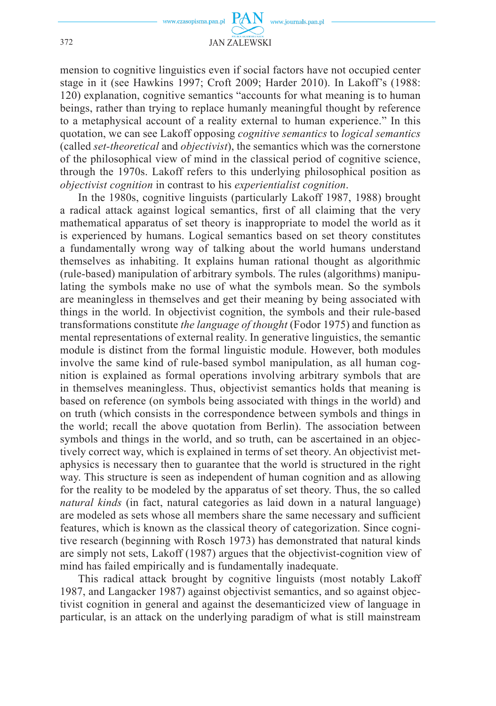

mension to cognitive linguistics even if social factors have not occupied center stage in it (see Hawkins 1997; Croft 2009; Harder 2010). In Lakoff's (1988: 120) explanation, cognitive semantics "accounts for what meaning is to human beings, rather than trying to replace humanly meaningful thought by reference to a metaphysical account of a reality external to human experience." In this quotation, we can see Lakoff opposing *cognitive semantics* to *logical semantics* (called *set-theoretical* and *objectivist*), the semantics which was the cornerstone of the philosophical view of mind in the classical period of cognitive science, through the 1970s. Lakoff refers to this underlying philosophical position as *objectivist cognition* in contrast to his *experientialist cognition*.

In the 1980s, cognitive linguists (particularly Lakoff 1987, 1988) brought a radical attack against logical semantics, first of all claiming that the very mathematical apparatus of set theory is inappropriate to model the world as it is experienced by humans. Logical semantics based on set theory constitutes a fundamentally wrong way of talking about the world humans understand themselves as inhabiting. It explains human rational thought as algorithmic (rule-based) manipulation of arbitrary symbols. The rules (algorithms) manipulating the symbols make no use of what the symbols mean. So the symbols are meaningless in themselves and get their meaning by being associated with things in the world. In objectivist cognition, the symbols and their rule-based transformations constitute *the language of thought* (Fodor 1975) and function as mental representations of external reality. In generative linguistics, the semantic module is distinct from the formal linguistic module. However, both modules involve the same kind of rule-based symbol manipulation, as all human cognition is explained as formal operations involving arbitrary symbols that are in themselves meaningless. Thus, objectivist semantics holds that meaning is based on reference (on symbols being associated with things in the world) and on truth (which consists in the correspondence between symbols and things in the world; recall the above quotation from Berlin). The association between symbols and things in the world, and so truth, can be ascertained in an objectively correct way, which is explained in terms of set theory. An objectivist metaphysics is necessary then to guarantee that the world is structured in the right way. This structure is seen as independent of human cognition and as allowing for the reality to be modeled by the apparatus of set theory. Thus, the so called *natural kinds* (in fact, natural categories as laid down in a natural language) are modeled as sets whose all members share the same necessary and sufficient features, which is known as the classical theory of categorization. Since cognitive research (beginning with Rosch 1973) has demonstrated that natural kinds are simply not sets, Lakoff (1987) argues that the objectivist-cognition view of mind has failed empirically and is fundamentally inadequate.

This radical attack brought by cognitive linguists (most notably Lakoff 1987, and Langacker 1987) against objectivist semantics, and so against objectivist cognition in general and against the desemanticized view of language in particular, is an attack on the underlying paradigm of what is still mainstream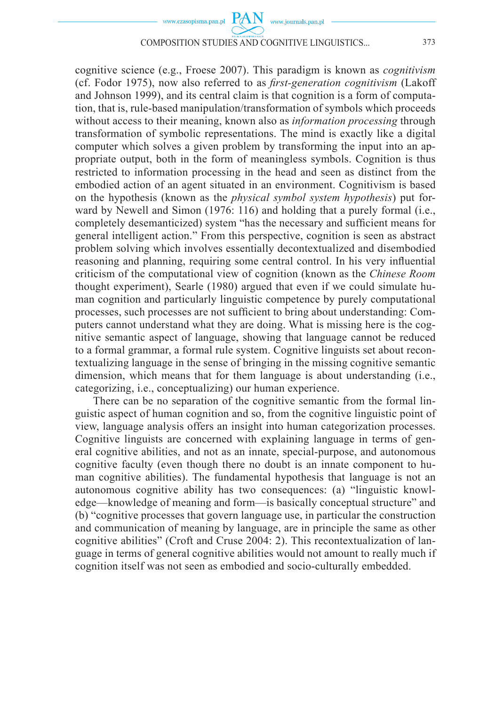

cognitive science (e.g., Froese 2007). This paradigm is known as *cognitivism* (cf. Fodor 1975), now also referred to as *first-generation cognitivism* (Lakoff and Johnson 1999), and its central claim is that cognition is a form of computation, that is, rule-based manipulation/transformation of symbols which proceeds without access to their meaning, known also as *information processing* through transformation of symbolic representations. The mind is exactly like a digital computer which solves a given problem by transforming the input into an appropriate output, both in the form of meaningless symbols. Cognition is thus restricted to information processing in the head and seen as distinct from the embodied action of an agent situated in an environment. Cognitivism is based on the hypothesis (known as the *physical symbol system hypothesis*) put forward by Newell and Simon (1976: 116) and holding that a purely formal (i.e., completely desemanticized) system "has the necessary and sufficient means for general intelligent action." From this perspective, cognition is seen as abstract problem solving which involves essentially decontextualized and disembodied reasoning and planning, requiring some central control. In his very influential criticism of the computational view of cognition (known as the *Chinese Room* thought experiment), Searle (1980) argued that even if we could simulate human cognition and particularly linguistic competence by purely computational processes, such processes are not sufficient to bring about understanding: Computers cannot understand what they are doing. What is missing here is the cognitive semantic aspect of language, showing that language cannot be reduced to a formal grammar, a formal rule system. Cognitive linguists set about recontextualizing language in the sense of bringing in the missing cognitive semantic dimension, which means that for them language is about understanding (i.e., categorizing, i.e., conceptualizing) our human experience.

There can be no separation of the cognitive semantic from the formal linguistic aspect of human cognition and so, from the cognitive linguistic point of view, language analysis offers an insight into human categorization processes. Cognitive linguists are concerned with explaining language in terms of general cognitive abilities, and not as an innate, special-purpose, and autonomous cognitive faculty (even though there no doubt is an innate component to human cognitive abilities). The fundamental hypothesis that language is not an autonomous cognitive ability has two consequences: (a) "linguistic knowledge—knowledge of meaning and form—is basically conceptual structure" and (b) "cognitive processes that govern language use, in particular the construction and communication of meaning by language, are in principle the same as other cognitive abilities" (Croft and Cruse 2004: 2). This recontextualization of language in terms of general cognitive abilities would not amount to really much if cognition itself was not seen as embodied and socio-culturally embedded.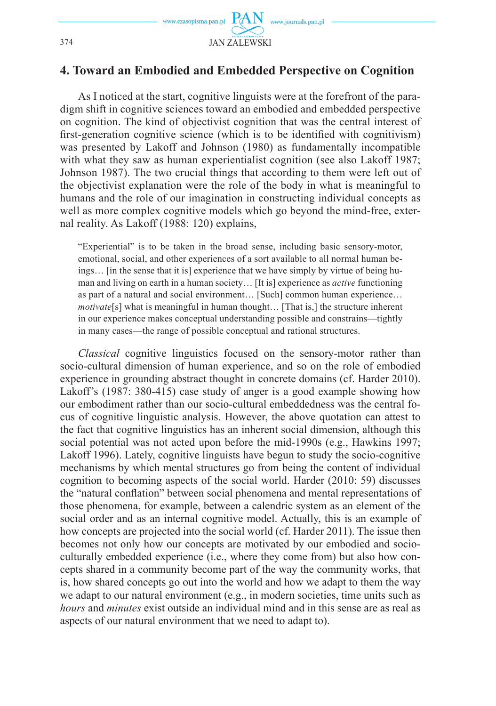

## **4. Toward an Embodied and Embedded Perspective on Cognition**

As I noticed at the start, cognitive linguists were at the forefront of the paradigm shift in cognitive sciences toward an embodied and embedded perspective on cognition. The kind of objectivist cognition that was the central interest of first-generation cognitive science (which is to be identified with cognitivism) was presented by Lakoff and Johnson (1980) as fundamentally incompatible with what they saw as human experientialist cognition (see also Lakoff 1987; Johnson 1987). The two crucial things that according to them were left out of the objectivist explanation were the role of the body in what is meaningful to humans and the role of our imagination in constructing individual concepts as well as more complex cognitive models which go beyond the mind-free, external reality. As Lakoff (1988: 120) explains,

"Experiential" is to be taken in the broad sense, including basic sensory-motor, emotional, social, and other experiences of a sort available to all normal human beings… [in the sense that it is] experience that we have simply by virtue of being human and living on earth in a human society… [It is] experience as *active* functioning as part of a natural and social environment… [Such] common human experience… *motivate*[s] what is meaningful in human thought… [That is,] the structure inherent in our experience makes conceptual understanding possible and constrains—tightly in many cases—the range of possible conceptual and rational structures.

*Classical* cognitive linguistics focused on the sensory-motor rather than socio-cultural dimension of human experience, and so on the role of embodied experience in grounding abstract thought in concrete domains (cf. Harder 2010). Lakoff's (1987: 380-415) case study of anger is a good example showing how our embodiment rather than our socio-cultural embeddedness was the central focus of cognitive linguistic analysis. However, the above quotation can attest to the fact that cognitive linguistics has an inherent social dimension, although this social potential was not acted upon before the mid-1990s (e.g., Hawkins 1997; Lakoff 1996). Lately, cognitive linguists have begun to study the socio-cognitive mechanisms by which mental structures go from being the content of individual cognition to becoming aspects of the social world. Harder (2010: 59) discusses the "natural conflation" between social phenomena and mental representations of those phenomena, for example, between a calendric system as an element of the social order and as an internal cognitive model. Actually, this is an example of how concepts are projected into the social world (cf. Harder 2011). The issue then becomes not only how our concepts are motivated by our embodied and socioculturally embedded experience (i.e., where they come from) but also how concepts shared in a community become part of the way the community works, that is, how shared concepts go out into the world and how we adapt to them the way we adapt to our natural environment (e.g., in modern societies, time units such as *hours* and *minutes* exist outside an individual mind and in this sense are as real as aspects of our natural environment that we need to adapt to).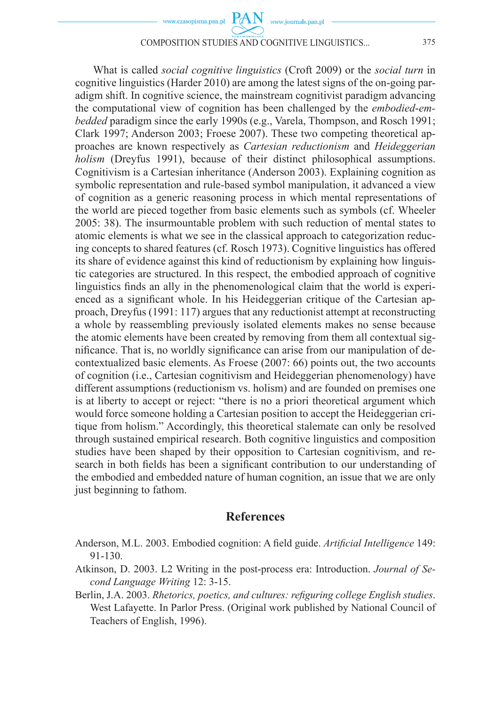What is called *social cognitive linguistics* (Croft 2009) or the *social turn* in cognitive linguistics (Harder 2010) are among the latest signs of the on-going paradigm shift. In cognitive science, the mainstream cognitivist paradigm advancing the computational view of cognition has been challenged by the *embodied*-*embedded* paradigm since the early 1990s (e.g., Varela, Thompson, and Rosch 1991; Clark 1997; Anderson 2003; Froese 2007). These two competing theoretical approaches are known respectively as *Cartesian reductionism* and *Heideggerian holism* (Dreyfus 1991), because of their distinct philosophical assumptions. Cognitivism is a Cartesian inheritance (Anderson 2003). Explaining cognition as symbolic representation and rule-based symbol manipulation, it advanced a view of cognition as a generic reasoning process in which mental representations of the world are pieced together from basic elements such as symbols (cf. Wheeler 2005: 38). The insurmountable problem with such reduction of mental states to atomic elements is what we see in the classical approach to categorization reducing concepts to shared features (cf. Rosch 1973). Cognitive linguistics has offered its share of evidence against this kind of reductionism by explaining how linguistic categories are structured. In this respect, the embodied approach of cognitive linguistics finds an ally in the phenomenological claim that the world is experienced as a significant whole. In his Heideggerian critique of the Cartesian approach, Dreyfus (1991: 117) argues that any reductionist attempt at reconstructing a whole by reassembling previously isolated elements makes no sense because the atomic elements have been created by removing from them all contextual significance. That is, no worldly significance can arise from our manipulation of decontextualized basic elements. As Froese (2007: 66) points out, the two accounts of cognition (i.e., Cartesian cognitivism and Heideggerian phenomenology) have different assumptions (reductionism vs. holism) and are founded on premises one is at liberty to accept or reject: "there is no a priori theoretical argument which would force someone holding a Cartesian position to accept the Heideggerian critique from holism." Accordingly, this theoretical stalemate can only be resolved through sustained empirical research. Both cognitive linguistics and composition studies have been shaped by their opposition to Cartesian cognitivism, and research in both fields has been a significant contribution to our understanding of the embodied and embedded nature of human cognition, an issue that we are only just beginning to fathom.

### **References**

- Anderson, M.L. 2003. Embodied cognition: A field guide. *Artificial Intelligence* 149: 91-130.
- Atkinson, D. 2003. L2 Writing in the post-process era: Introduction. *Journal of Second Language Writing* 12: 3-15.
- Berlin, J.A. 2003. *Rhetorics, poetics, and cultures: refiguring college English studies.* West Lafayette. In Parlor Press. (Original work published by National Council of Teachers of English, 1996).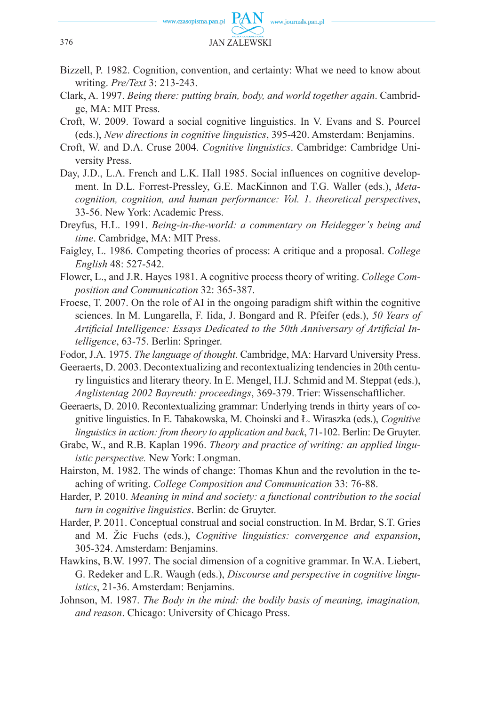

- Bizzell, P. 1982. Cognition, convention, and certainty: What we need to know about writing. *Pre/Text* 3: 213-243.
- Clark, A. 1997. *Being there: putting brain, body, and world together again*. Cambridge, MA: MIT Press.
- Croft, W. 2009. Toward a social cognitive linguistics. In V. Evans and S. Pourcel (eds.), *New directions in cognitive linguistics*, 395-420. Amsterdam: Benjamins.
- Croft, W. and D.A. Cruse 2004. *Cognitive linguistics*. Cambridge: Cambridge University Press.
- Day, J.D., L.A. French and L.K. Hall 1985. Social influences on cognitive development. In D.L. Forrest-Pressley, G.E. MacKinnon and T.G. Waller (eds.), *Metacognition, cognition, and human performance: Vol. 1. theoretical perspectives*, 33-56. New York: Academic Press.
- Dreyfus, H.L. 1991. *Being-in-the-world: a commentary on Heidegger's being and time*. Cambridge, MA: MIT Press.
- Faigley, L. 1986. Competing theories of process: A critique and a proposal. *College English* 48: 527-542.
- Flower, L., and J.R. Hayes 1981. A cognitive process theory of writing. *College Composition and Communication* 32: 365-387.
- Froese, T. 2007. On the role of AI in the ongoing paradigm shift within the cognitive sciences. In M. Lungarella, F. Iida, J. Bongard and R. Pfeifer (eds.), *50 Years of*  Artificial Intelligence: Essays Dedicated to the 50th Anniversary of Artificial In*telligence*, 63-75. Berlin: Springer.
- Fodor, J.A. 1975. *The language of thought*. Cambridge, MA: Harvard University Press.
- Geeraerts, D. 2003. Decontextualizing and recontextualizing tendencies in 20th century linguistics and literary theory. In E. Mengel, H.J. Schmid and M. Steppat (eds.), *Anglistentag 2002 Bayreuth: proceedings*, 369-379. Trier: Wissenschaftlicher.
- Geeraerts, D. 2010. Recontextualizing grammar: Underlying trends in thirty years of cognitive linguistics. In E. Tabakowska, M. Choinski and Ł. Wiraszka (eds.), *Cognitive linguistics in action: from theory to application and back*, 71-102. Berlin: De Gruyter.
- Grabe, W., and R.B. Kaplan 1996. *Theory and practice of writing: an applied linguistic perspective.* New York: Longman.
- Hairston, M. 1982. The winds of change: Thomas Khun and the revolution in the teaching of writing. *College Composition and Communication* 33: 76-88.
- Harder, P. 2010. *Meaning in mind and society: a functional contribution to the social turn in cognitive linguistics*. Berlin: de Gruyter.
- Harder, P. 2011. Conceptual construal and social construction. In M. Brdar, S.T. Gries and M. Žic Fuchs (eds.), *Cognitive linguistics: convergence and expansion*, 305-324. Amsterdam: Benjamins.
- Hawkins, B.W. 1997. The social dimension of a cognitive grammar. In W.A. Liebert, G. Redeker and L.R. Waugh (eds.), *Discourse and perspective in cognitive linguistics*, 21-36. Amsterdam: Benjamins.
- Johnson, M. 1987. *The Body in the mind: the bodily basis of meaning, imagination, and reason*. Chicago: University of Chicago Press.